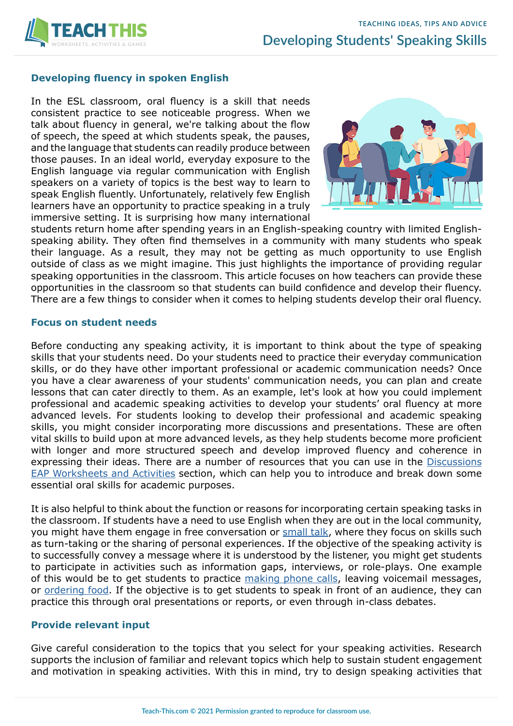

### **Developing fluency in spoken English**

In the ESL classroom, oral fluency is a skill that needs consistent practice to see noticeable progress. When we talk about fluency in general, we're talking about the flow of speech, the speed at which students speak, the pauses, and the language that students can readily produce between those pauses. In an ideal world, everyday exposure to the English language via regular communication with English speakers on a variety of topics is the best way to learn to speak English fluently. Unfortunately, relatively few English learners have an opportunity to practice speaking in a truly immersive setting. It is surprising how many international



students return home after spending years in an English-speaking country with limited Englishspeaking ability. They often find themselves in a community with many students who speak their language. As a result, they may not be getting as much opportunity to use English outside of class as we might imagine. This just highlights the importance of providing regular speaking opportunities in the classroom. This article focuses on how teachers can provide these opportunities in the classroom so that students can build confidence and develop their fluency. There are a few things to consider when it comes to helping students develop their oral fluency.

#### **Focus on student needs**

Before conducting any speaking activity, it is important to think about the type of speaking skills that your students need. Do your students need to practice their everyday communication skills, or do they have other important professional or academic communication needs? Once you have a clear awareness of your students' communication needs, you can plan and create lessons that can cater directly to them. As an example, let's look at how you could implement professional and academic speaking activities to develop your students' oral fluency at more advanced levels. For students looking to develop their professional and academic speaking skills, you might consider incorporating more discussions and presentations. These are often vital skills to build upon at more advanced levels, as they help students become more proficient with longer and more structured speech and develop improved fluency and coherence in expressing their ideas. There are a number of resources that you can use in the [Discussions](https://www.teach-this.com/academic-english-worksheets-activities/discussions) [EAP Worksheets and Activities](https://www.teach-this.com/academic-english-worksheets-activities/discussions) section, which can help you to introduce and break down some essential oral skills for academic purposes.

It is also helpful to think about the function or reasons for incorporating certain speaking tasks in the classroom. If students have a need to use English when they are out in the local community, you might have them engage in free conversation or [small talk](https://www.teach-this.com/functional-activities-worksheets/small-talk), where they focus on skills such as turn-taking or the sharing of personal experiences. If the objective of the speaking activity is to successfully convey a message where it is understood by the listener, you might get students to participate in activities such as information gaps, interviews, or role-plays. One example of this would be to get students to practice [making phone calls,](https://www.teach-this.com/functional-activities-worksheets/telephoning-language) leaving voicemail messages, or [ordering food](https://www.teach-this.com/functional-activities-worksheets/ordering-food-restaurant). If the objective is to get students to speak in front of an audience, they can practice this through oral presentations or reports, or even through in-class debates.

#### **Provide relevant input**

Give careful consideration to the topics that you select for your speaking activities. Research supports the inclusion of familiar and relevant topics which help to sustain student engagement and motivation in speaking activities. With this in mind, try to design speaking activities that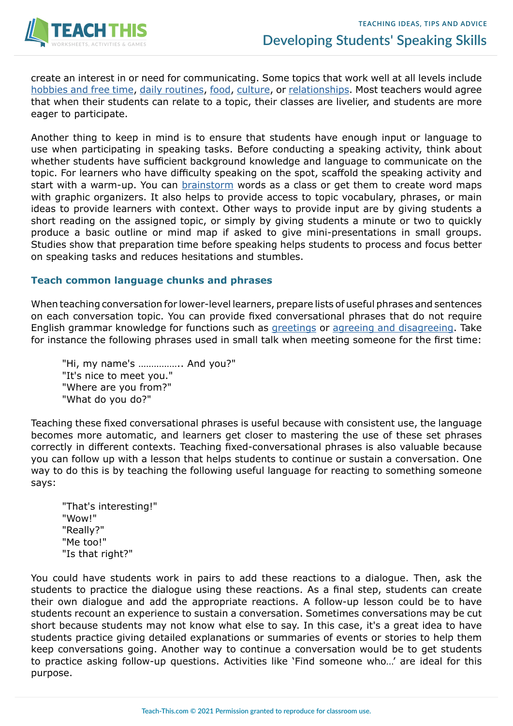

create an interest in or need for communicating. Some topics that work well at all levels include [hobbies and free time](https://www.teach-this.com/general-activities-worksheets/hobbies-free-time), [daily routines](https://www.teach-this.com/grammar-activities-worksheets/present-simple-affirmative-negative), [food](https://www.teach-this.com/general-activities-worksheets/food-drink), [culture](https://www.teach-this.com/general-activities-worksheets/cultural-celebrations), or [relationships](https://www.teach-this.com/general-activities-worksheets/family-relationships). Most teachers would agree that when their students can relate to a topic, their classes are livelier, and students are more eager to participate.

Another thing to keep in mind is to ensure that students have enough input or language to use when participating in speaking tasks. Before conducting a speaking activity, think about whether students have sufficient background knowledge and language to communicate on the topic. For learners who have difficulty speaking on the spot, scaffold the speaking activity and start with a warm-up. You can [brainstorm](https://www.teach-this.com/esl-games/brainstorming-games) words as a class or get them to create word maps with graphic organizers. It also helps to provide access to topic vocabulary, phrases, or main ideas to provide learners with context. Other ways to provide input are by giving students a short reading on the assigned topic, or simply by giving students a minute or two to quickly produce a basic outline or mind map if asked to give mini-presentations in small groups. Studies show that preparation time before speaking helps students to process and focus better on speaking tasks and reduces hesitations and stumbles.

#### **Teach common language chunks and phrases**

When teaching conversation for lower-level learners, prepare lists of useful phrases and sentences on each conversation topic. You can provide fixed conversational phrases that do not require English grammar knowledge for functions such as [greetings](https://www.teach-this.com/functional-activities-worksheets/introductions) or [agreeing and disagreeing](https://www.teach-this.com/functional-activities-worksheets/agreeing-disagreeing). Take for instance the following phrases used in small talk when meeting someone for the first time:

"Hi, my name's …………….. And you?" "It's nice to meet you." "Where are you from?" "What do you do?"

Teaching these fixed conversational phrases is useful because with consistent use, the language becomes more automatic, and learners get closer to mastering the use of these set phrases correctly in different contexts. Teaching fixed-conversational phrases is also valuable because you can follow up with a lesson that helps students to continue or sustain a conversation. One way to do this is by teaching the following useful language for reacting to something someone says:

"That's interesting!" "Wow!" "Really?" "Me too!" "Is that right?"

You could have students work in pairs to add these reactions to a dialogue. Then, ask the students to practice the dialogue using these reactions. As a final step, students can create their own dialogue and add the appropriate reactions. A follow-up lesson could be to have students recount an experience to sustain a conversation. Sometimes conversations may be cut short because students may not know what else to say. In this case, it's a great idea to have students practice giving detailed explanations or summaries of events or stories to help them keep conversations going. Another way to continue a conversation would be to get students to practice asking follow-up questions. Activities like 'Find someone who…' are ideal for this purpose.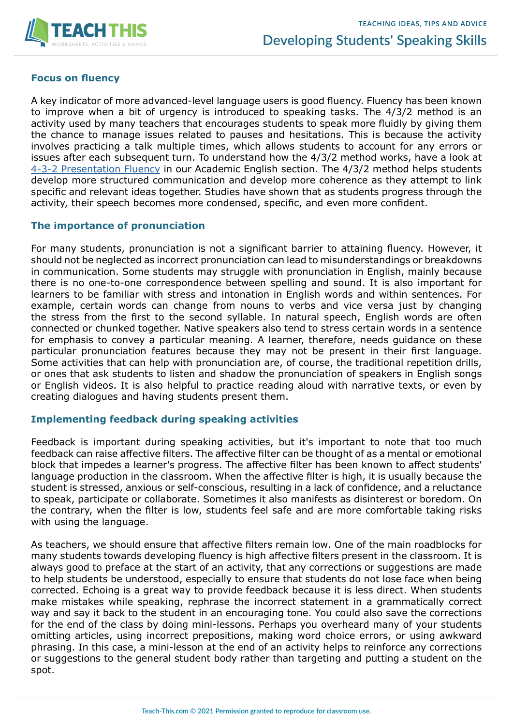

## **Focus on fluency**

A key indicator of more advanced-level language users is good fluency. Fluency has been known to improve when a bit of urgency is introduced to speaking tasks. The 4/3/2 method is an activity used by many teachers that encourages students to speak more fluidly by giving them the chance to manage issues related to pauses and hesitations. This is because the activity involves practicing a talk multiple times, which allows students to account for any errors or issues after each subsequent turn. To understand how the 4/3/2 method works, have a look at [4-3-2 Presentation Fluency](https://www.teach-this.com/academic-english-worksheets-activities/presentation-skills) in our Academic English section. The 4/3/2 method helps students develop more structured communication and develop more coherence as they attempt to link specific and relevant ideas together. Studies have shown that as students progress through the activity, their speech becomes more condensed, specific, and even more confident.

## **The importance of pronunciation**

For many students, pronunciation is not a significant barrier to attaining fluency. However, it should not be neglected as incorrect pronunciation can lead to misunderstandings or breakdowns in communication. Some students may struggle with pronunciation in English, mainly because there is no one-to-one correspondence between spelling and sound. It is also important for learners to be familiar with stress and intonation in English words and within sentences. For example, certain words can change from nouns to verbs and vice versa just by changing the stress from the first to the second syllable. In natural speech, English words are often connected or chunked together. Native speakers also tend to stress certain words in a sentence for emphasis to convey a particular meaning. A learner, therefore, needs guidance on these particular pronunciation features because they may not be present in their first language. Some activities that can help with pronunciation are, of course, the traditional repetition drills, or ones that ask students to listen and shadow the pronunciation of speakers in English songs or English videos. It is also helpful to practice reading aloud with narrative texts, or even by creating dialogues and having students present them.

## **Implementing feedback during speaking activities**

Feedback is important during speaking activities, but it's important to note that too much feedback can raise affective filters. The affective filter can be thought of as a mental or emotional block that impedes a learner's progress. The affective filter has been known to affect students' language production in the classroom. When the affective filter is high, it is usually because the student is stressed, anxious or self-conscious, resulting in a lack of confidence, and a reluctance to speak, participate or collaborate. Sometimes it also manifests as disinterest or boredom. On the contrary, when the filter is low, students feel safe and are more comfortable taking risks with using the language.

As teachers, we should ensure that affective filters remain low. One of the main roadblocks for many students towards developing fluency is high affective filters present in the classroom. It is always good to preface at the start of an activity, that any corrections or suggestions are made to help students be understood, especially to ensure that students do not lose face when being corrected. Echoing is a great way to provide feedback because it is less direct. When students make mistakes while speaking, rephrase the incorrect statement in a grammatically correct way and say it back to the student in an encouraging tone. You could also save the corrections for the end of the class by doing mini-lessons. Perhaps you overheard many of your students omitting articles, using incorrect prepositions, making word choice errors, or using awkward phrasing. In this case, a mini-lesson at the end of an activity helps to reinforce any corrections or suggestions to the general student body rather than targeting and putting a student on the spot.